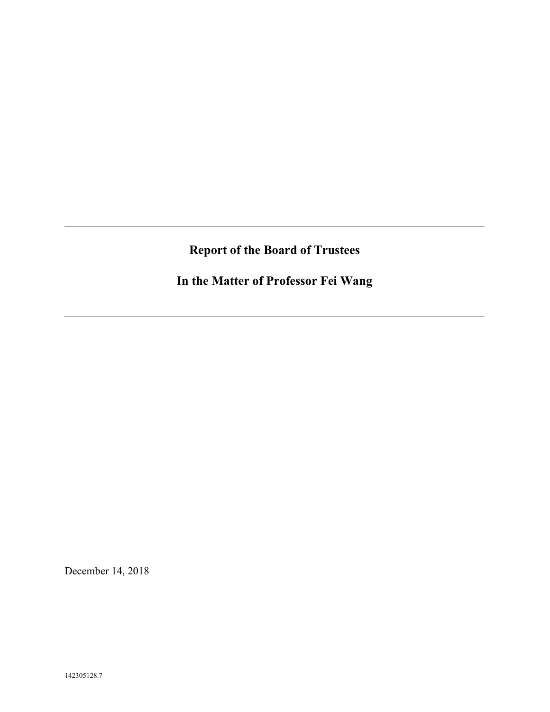# **Report of the Board of Trustees**

**In the Matter of Professor Fei Wang**

December 14, 2018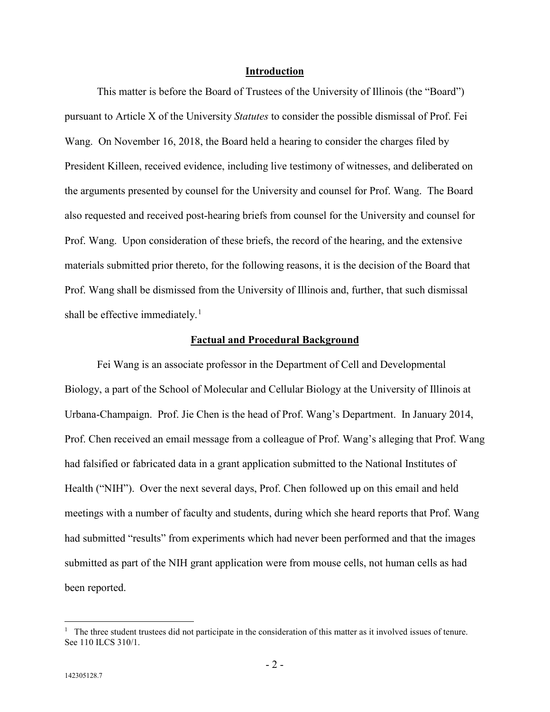### **Introduction**

This matter is before the Board of Trustees of the University of Illinois (the "Board") pursuant to Article X of the University *Statutes* to consider the possible dismissal of Prof. Fei Wang. On November 16, 2018, the Board held a hearing to consider the charges filed by President Killeen, received evidence, including live testimony of witnesses, and deliberated on the arguments presented by counsel for the University and counsel for Prof. Wang. The Board also requested and received post-hearing briefs from counsel for the University and counsel for Prof. Wang. Upon consideration of these briefs, the record of the hearing, and the extensive materials submitted prior thereto, for the following reasons, it is the decision of the Board that Prof. Wang shall be dismissed from the University of Illinois and, further, that such dismissal shall be effective immediately.<sup>[1](#page-1-0)</sup>

#### **Factual and Procedural Background**

Fei Wang is an associate professor in the Department of Cell and Developmental Biology, a part of the School of Molecular and Cellular Biology at the University of Illinois at Urbana-Champaign. Prof. Jie Chen is the head of Prof. Wang's Department. In January 2014, Prof. Chen received an email message from a colleague of Prof. Wang's alleging that Prof. Wang had falsified or fabricated data in a grant application submitted to the National Institutes of Health ("NIH"). Over the next several days, Prof. Chen followed up on this email and held meetings with a number of faculty and students, during which she heard reports that Prof. Wang had submitted "results" from experiments which had never been performed and that the images submitted as part of the NIH grant application were from mouse cells, not human cells as had been reported.

<span id="page-1-0"></span> $\frac{1}{1}$  $<sup>1</sup>$  The three student trustees did not participate in the consideration of this matter as it involved issues of tenure.</sup> See 110 ILCS 310/1.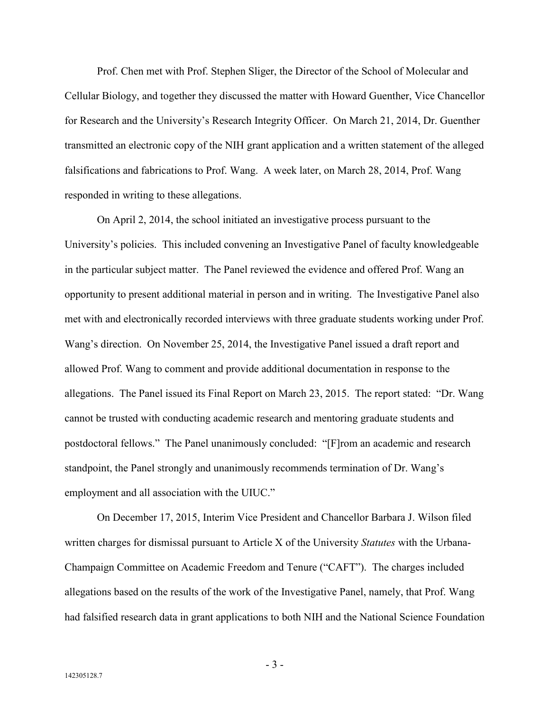Prof. Chen met with Prof. Stephen Sliger, the Director of the School of Molecular and Cellular Biology, and together they discussed the matter with Howard Guenther, Vice Chancellor for Research and the University's Research Integrity Officer. On March 21, 2014, Dr. Guenther transmitted an electronic copy of the NIH grant application and a written statement of the alleged falsifications and fabrications to Prof. Wang. A week later, on March 28, 2014, Prof. Wang responded in writing to these allegations.

On April 2, 2014, the school initiated an investigative process pursuant to the University's policies. This included convening an Investigative Panel of faculty knowledgeable in the particular subject matter. The Panel reviewed the evidence and offered Prof. Wang an opportunity to present additional material in person and in writing. The Investigative Panel also met with and electronically recorded interviews with three graduate students working under Prof. Wang's direction. On November 25, 2014, the Investigative Panel issued a draft report and allowed Prof. Wang to comment and provide additional documentation in response to the allegations. The Panel issued its Final Report on March 23, 2015. The report stated: "Dr. Wang cannot be trusted with conducting academic research and mentoring graduate students and postdoctoral fellows." The Panel unanimously concluded: "[F]rom an academic and research standpoint, the Panel strongly and unanimously recommends termination of Dr. Wang's employment and all association with the UIUC."

On December 17, 2015, Interim Vice President and Chancellor Barbara J. Wilson filed written charges for dismissal pursuant to Article X of the University *Statutes* with the Urbana-Champaign Committee on Academic Freedom and Tenure ("CAFT"). The charges included allegations based on the results of the work of the Investigative Panel, namely, that Prof. Wang had falsified research data in grant applications to both NIH and the National Science Foundation

- 3 -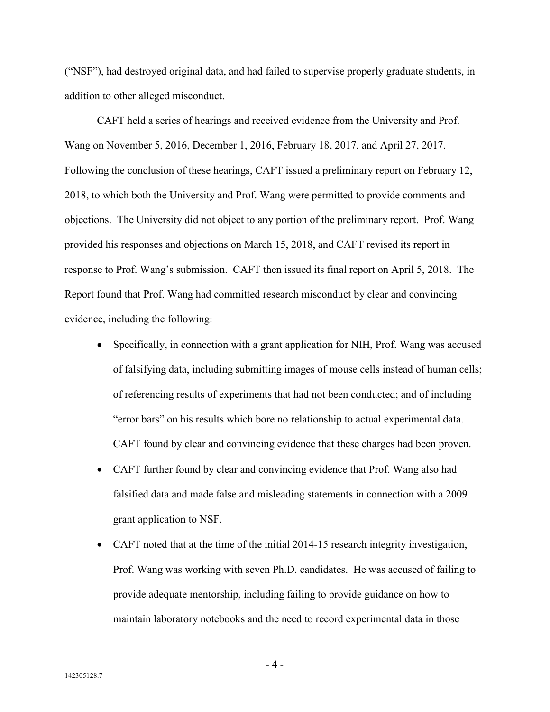("NSF"), had destroyed original data, and had failed to supervise properly graduate students, in addition to other alleged misconduct.

CAFT held a series of hearings and received evidence from the University and Prof. Wang on November 5, 2016, December 1, 2016, February 18, 2017, and April 27, 2017. Following the conclusion of these hearings, CAFT issued a preliminary report on February 12, 2018, to which both the University and Prof. Wang were permitted to provide comments and objections. The University did not object to any portion of the preliminary report. Prof. Wang provided his responses and objections on March 15, 2018, and CAFT revised its report in response to Prof. Wang's submission. CAFT then issued its final report on April 5, 2018. The Report found that Prof. Wang had committed research misconduct by clear and convincing evidence, including the following:

- Specifically, in connection with a grant application for NIH, Prof. Wang was accused of falsifying data, including submitting images of mouse cells instead of human cells; of referencing results of experiments that had not been conducted; and of including "error bars" on his results which bore no relationship to actual experimental data. CAFT found by clear and convincing evidence that these charges had been proven.
- CAFT further found by clear and convincing evidence that Prof. Wang also had falsified data and made false and misleading statements in connection with a 2009 grant application to NSF.
- CAFT noted that at the time of the initial 2014-15 research integrity investigation, Prof. Wang was working with seven Ph.D. candidates. He was accused of failing to provide adequate mentorship, including failing to provide guidance on how to maintain laboratory notebooks and the need to record experimental data in those

- 4 -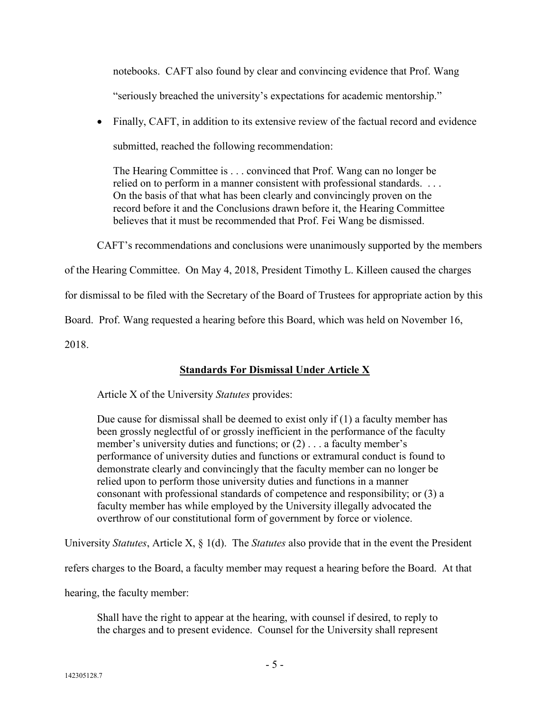notebooks. CAFT also found by clear and convincing evidence that Prof. Wang "seriously breached the university's expectations for academic mentorship."

• Finally, CAFT, in addition to its extensive review of the factual record and evidence submitted, reached the following recommendation:

The Hearing Committee is . . . convinced that Prof. Wang can no longer be relied on to perform in a manner consistent with professional standards. . . . On the basis of that what has been clearly and convincingly proven on the record before it and the Conclusions drawn before it, the Hearing Committee believes that it must be recommended that Prof. Fei Wang be dismissed.

CAFT's recommendations and conclusions were unanimously supported by the members

of the Hearing Committee. On May 4, 2018, President Timothy L. Killeen caused the charges

for dismissal to be filed with the Secretary of the Board of Trustees for appropriate action by this

Board. Prof. Wang requested a hearing before this Board, which was held on November 16,

2018.

## **Standards For Dismissal Under Article X**

Article X of the University *Statutes* provides:

Due cause for dismissal shall be deemed to exist only if (1) a faculty member has been grossly neglectful of or grossly inefficient in the performance of the faculty member's university duties and functions; or (2) . . . a faculty member's performance of university duties and functions or extramural conduct is found to demonstrate clearly and convincingly that the faculty member can no longer be relied upon to perform those university duties and functions in a manner consonant with professional standards of competence and responsibility; or (3) a faculty member has while employed by the University illegally advocated the overthrow of our constitutional form of government by force or violence.

University *Statutes*, Article X, § 1(d). The *Statutes* also provide that in the event the President

refers charges to the Board, a faculty member may request a hearing before the Board. At that

hearing, the faculty member:

Shall have the right to appear at the hearing, with counsel if desired, to reply to the charges and to present evidence. Counsel for the University shall represent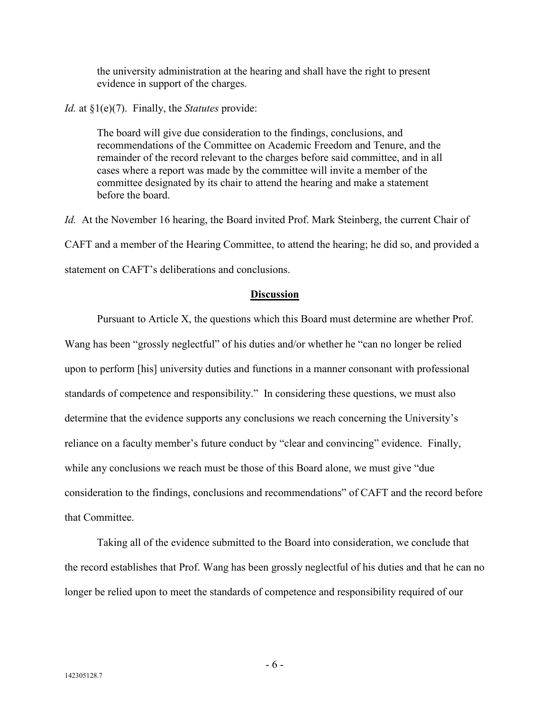the university administration at the hearing and shall have the right to present evidence in support of the charges.

*Id.* at §1(e)(7). Finally, the *Statutes* provide:

The board will give due consideration to the findings, conclusions, and recommendations of the Committee on Academic Freedom and Tenure, and the remainder of the record relevant to the charges before said committee, and in all cases where a report was made by the committee will invite a member of the committee designated by its chair to attend the hearing and make a statement before the board.

*Id.* At the November 16 hearing, the Board invited Prof. Mark Steinberg, the current Chair of CAFT and a member of the Hearing Committee, to attend the hearing; he did so, and provided a statement on CAFT's deliberations and conclusions.

### **Discussion**

Pursuant to Article X, the questions which this Board must determine are whether Prof. Wang has been "grossly neglectful" of his duties and/or whether he "can no longer be relied upon to perform [his] university duties and functions in a manner consonant with professional standards of competence and responsibility." In considering these questions, we must also determine that the evidence supports any conclusions we reach concerning the University's reliance on a faculty member's future conduct by "clear and convincing" evidence. Finally, while any conclusions we reach must be those of this Board alone, we must give "due consideration to the findings, conclusions and recommendations" of CAFT and the record before that Committee.

Taking all of the evidence submitted to the Board into consideration, we conclude that the record establishes that Prof. Wang has been grossly neglectful of his duties and that he can no longer be relied upon to meet the standards of competence and responsibility required of our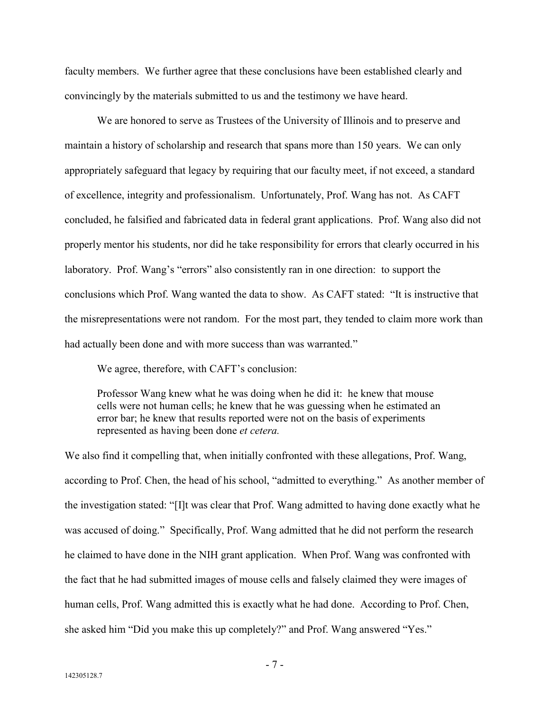faculty members. We further agree that these conclusions have been established clearly and convincingly by the materials submitted to us and the testimony we have heard.

We are honored to serve as Trustees of the University of Illinois and to preserve and maintain a history of scholarship and research that spans more than 150 years. We can only appropriately safeguard that legacy by requiring that our faculty meet, if not exceed, a standard of excellence, integrity and professionalism. Unfortunately, Prof. Wang has not. As CAFT concluded, he falsified and fabricated data in federal grant applications. Prof. Wang also did not properly mentor his students, nor did he take responsibility for errors that clearly occurred in his laboratory. Prof. Wang's "errors" also consistently ran in one direction: to support the conclusions which Prof. Wang wanted the data to show. As CAFT stated: "It is instructive that the misrepresentations were not random. For the most part, they tended to claim more work than had actually been done and with more success than was warranted."

We agree, therefore, with CAFT's conclusion:

Professor Wang knew what he was doing when he did it: he knew that mouse cells were not human cells; he knew that he was guessing when he estimated an error bar; he knew that results reported were not on the basis of experiments represented as having been done *et cetera.*

We also find it compelling that, when initially confronted with these allegations, Prof. Wang, according to Prof. Chen, the head of his school, "admitted to everything." As another member of the investigation stated: "[I]t was clear that Prof. Wang admitted to having done exactly what he was accused of doing." Specifically, Prof. Wang admitted that he did not perform the research he claimed to have done in the NIH grant application. When Prof. Wang was confronted with the fact that he had submitted images of mouse cells and falsely claimed they were images of human cells, Prof. Wang admitted this is exactly what he had done. According to Prof. Chen, she asked him "Did you make this up completely?" and Prof. Wang answered "Yes."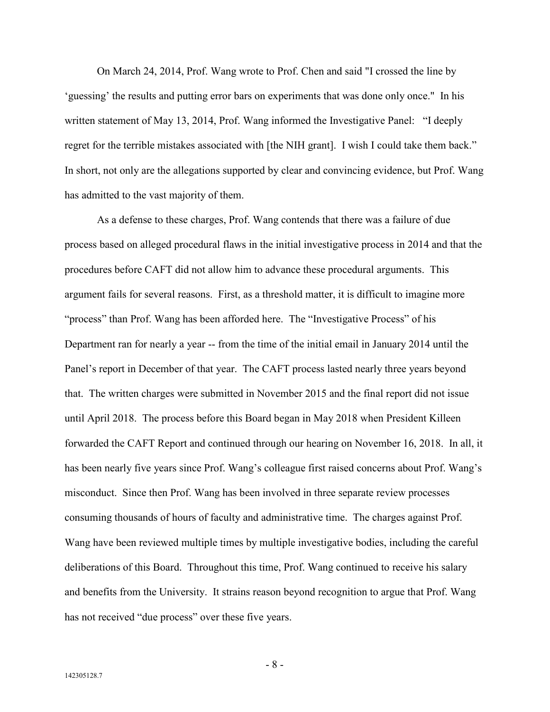On March 24, 2014, Prof. Wang wrote to Prof. Chen and said "I crossed the line by 'guessing' the results and putting error bars on experiments that was done only once." In his written statement of May 13, 2014, Prof. Wang informed the Investigative Panel: "I deeply regret for the terrible mistakes associated with [the NIH grant]. I wish I could take them back." In short, not only are the allegations supported by clear and convincing evidence, but Prof. Wang has admitted to the vast majority of them.

As a defense to these charges, Prof. Wang contends that there was a failure of due process based on alleged procedural flaws in the initial investigative process in 2014 and that the procedures before CAFT did not allow him to advance these procedural arguments. This argument fails for several reasons. First, as a threshold matter, it is difficult to imagine more "process" than Prof. Wang has been afforded here. The "Investigative Process" of his Department ran for nearly a year -- from the time of the initial email in January 2014 until the Panel's report in December of that year. The CAFT process lasted nearly three years beyond that. The written charges were submitted in November 2015 and the final report did not issue until April 2018. The process before this Board began in May 2018 when President Killeen forwarded the CAFT Report and continued through our hearing on November 16, 2018. In all, it has been nearly five years since Prof. Wang's colleague first raised concerns about Prof. Wang's misconduct. Since then Prof. Wang has been involved in three separate review processes consuming thousands of hours of faculty and administrative time. The charges against Prof. Wang have been reviewed multiple times by multiple investigative bodies, including the careful deliberations of this Board. Throughout this time, Prof. Wang continued to receive his salary and benefits from the University. It strains reason beyond recognition to argue that Prof. Wang has not received "due process" over these five years.

- 8 -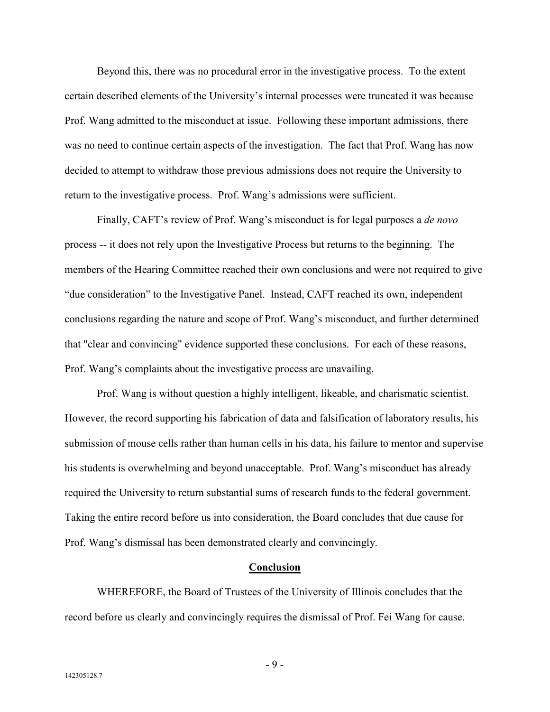Beyond this, there was no procedural error in the investigative process. To the extent certain described elements of the University's internal processes were truncated it was because Prof. Wang admitted to the misconduct at issue. Following these important admissions, there was no need to continue certain aspects of the investigation. The fact that Prof. Wang has now decided to attempt to withdraw those previous admissions does not require the University to return to the investigative process. Prof. Wang's admissions were sufficient.

Finally, CAFT's review of Prof. Wang's misconduct is for legal purposes a *de novo* process -- it does not rely upon the Investigative Process but returns to the beginning. The members of the Hearing Committee reached their own conclusions and were not required to give "due consideration" to the Investigative Panel. Instead, CAFT reached its own, independent conclusions regarding the nature and scope of Prof. Wang's misconduct, and further determined that "clear and convincing" evidence supported these conclusions. For each of these reasons, Prof. Wang's complaints about the investigative process are unavailing.

Prof. Wang is without question a highly intelligent, likeable, and charismatic scientist. However, the record supporting his fabrication of data and falsification of laboratory results, his submission of mouse cells rather than human cells in his data, his failure to mentor and supervise his students is overwhelming and beyond unacceptable. Prof. Wang's misconduct has already required the University to return substantial sums of research funds to the federal government. Taking the entire record before us into consideration, the Board concludes that due cause for Prof. Wang's dismissal has been demonstrated clearly and convincingly.

### **Conclusion**

WHEREFORE, the Board of Trustees of the University of Illinois concludes that the record before us clearly and convincingly requires the dismissal of Prof. Fei Wang for cause.

- 9 -